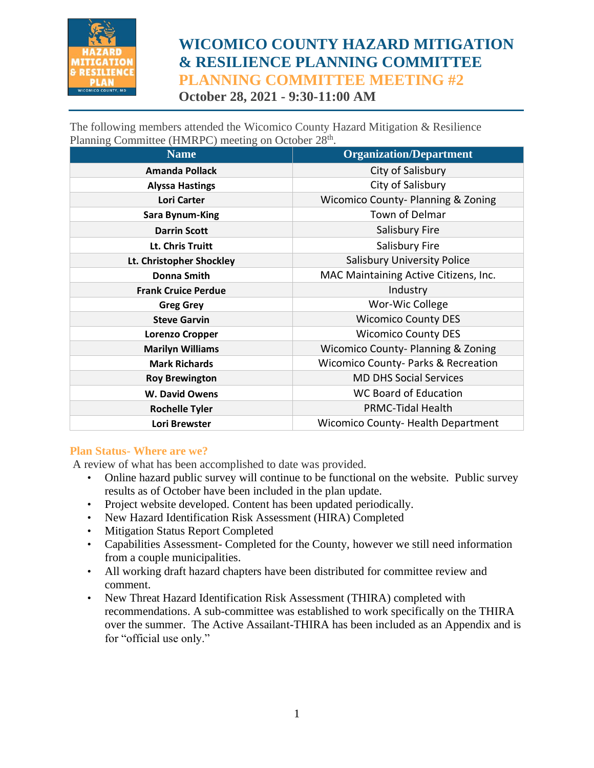

# **WICOMICO COUNTY HAZARD MITIGATION & RESILIENCE PLANNING COMMITTEE PLANNING COMMITTEE MEETING #2 October 28, 2021 - 9:30-11:00 AM**

The following members attended the Wicomico County Hazard Mitigation & Resilience Planning Committee (HMRPC) meeting on October 28<sup>th</sup>.

| <b>Name</b>                | <b>Organization/Department</b>                |
|----------------------------|-----------------------------------------------|
| <b>Amanda Pollack</b>      | City of Salisbury                             |
| <b>Alyssa Hastings</b>     | City of Salisbury                             |
| Lori Carter                | <b>Wicomico County-Planning &amp; Zoning</b>  |
| <b>Sara Bynum-King</b>     | Town of Delmar                                |
| <b>Darrin Scott</b>        | Salisbury Fire                                |
| Lt. Chris Truitt           | Salisbury Fire                                |
| Lt. Christopher Shockley   | <b>Salisbury University Police</b>            |
| Donna Smith                | MAC Maintaining Active Citizens, Inc.         |
| <b>Frank Cruice Perdue</b> | Industry                                      |
| <b>Greg Grey</b>           | Wor-Wic College                               |
| <b>Steve Garvin</b>        | <b>Wicomico County DES</b>                    |
| <b>Lorenzo Cropper</b>     | <b>Wicomico County DES</b>                    |
| <b>Marilyn Williams</b>    | <b>Wicomico County-Planning &amp; Zoning</b>  |
| <b>Mark Richards</b>       | <b>Wicomico County-Parks &amp; Recreation</b> |
| <b>Roy Brewington</b>      | <b>MD DHS Social Services</b>                 |
| <b>W. David Owens</b>      | <b>WC Board of Education</b>                  |
| <b>Rochelle Tyler</b>      | <b>PRMC-Tidal Health</b>                      |
| Lori Brewster              | <b>Wicomico County-Health Department</b>      |

#### **Plan Status- Where are we?**

A review of what has been accomplished to date was provided.

- Online hazard public survey will continue to be functional on the website. Public survey results as of October have been included in the plan update.
- Project website developed. Content has been updated periodically.
- New Hazard Identification Risk Assessment (HIRA) Completed
- Mitigation Status Report Completed
- Capabilities Assessment- Completed for the County, however we still need information from a couple municipalities.
- All working draft hazard chapters have been distributed for committee review and comment.
- New Threat Hazard Identification Risk Assessment (THIRA) completed with recommendations. A sub-committee was established to work specifically on the THIRA over the summer. The Active Assailant-THIRA has been included as an Appendix and is for "official use only."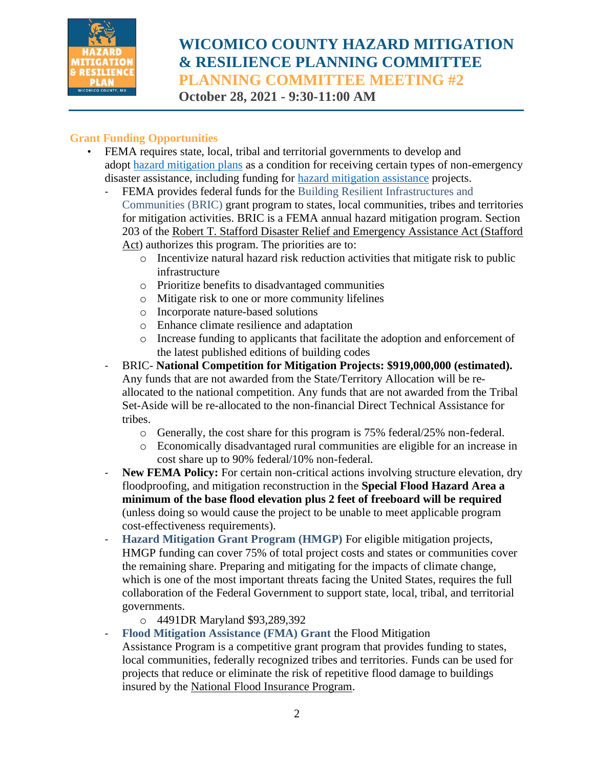

# **WICOMICO COUNTY HAZARD MITIGATION & RESILIENCE PLANNING COMMITTEE PLANNING COMMITTEE MEETING #2 October 28, 2021 - 9:30-11:00 AM**

## **Grant Funding Opportunities**

• FEMA requires state, local, tribal and territorial governments to develop and adopt [hazard mitigation plans](https://www.fema.gov/emergency-managers/mitigation/planning) as a condition for receiving certain types of non-emergency disaster assistance, including funding for [hazard mitigation assistance](https://www.fema.gov/grants/mitigation) projects.

- FEMA provides federal funds for the Building Resilient Infrastructures and Communities (BRIC) grant program to states, local communities, tribes and territories for mitigation activities. BRIC is a FEMA annual hazard mitigation program. Section 203 of the [Robert T. Stafford Disaster Relief and Emergency Assistance Act \(Stafford](https://www.fema.gov/disaster/stafford-act)  [Act\)](https://www.fema.gov/disaster/stafford-act) authorizes this program. The priorities are to:
	- o Incentivize natural hazard risk reduction activities that mitigate risk to public infrastructure
	- o Prioritize benefits to disadvantaged communities
	- o Mitigate risk to one or more community lifelines
	- o Incorporate nature-based solutions
	- o Enhance climate resilience and adaptation
	- o Increase funding to applicants that facilitate the adoption and enforcement of the latest published editions of building codes
- BRIC- **National Competition for Mitigation Projects: \$919,000,000 (estimated).**  Any funds that are not awarded from the State/Territory Allocation will be reallocated to the national competition. Any funds that are not awarded from the Tribal Set-Aside will be re-allocated to the non-financial Direct Technical Assistance for tribes.
	- o Generally, the cost share for this program is 75% federal/25% non-federal.
	- o Economically disadvantaged rural communities are eligible for an increase in cost share up to 90% federal/10% non-federal.
- **New FEMA Policy:** For certain non-critical actions involving structure elevation, dry floodproofing, and mitigation reconstruction in the **Special Flood Hazard Area a minimum of the base flood elevation plus 2 feet of freeboard will be required**  (unless doing so would cause the project to be unable to meet applicable program cost-effectiveness requirements).
- **Hazard Mitigation Grant Program (HMGP)** For eligible mitigation projects, HMGP funding can cover 75% of total project costs and states or communities cover the remaining share. Preparing and mitigating for the impacts of climate change, which is one of the most important threats facing the United States, requires the full collaboration of the Federal Government to support state, local, tribal, and territorial governments.
	- o 4491DR Maryland \$93,289,392
- **Flood Mitigation Assistance (FMA) Grant** the Flood Mitigation Assistance Program is a competitive grant program that provides funding to states, local communities, federally recognized tribes and territories. Funds can be used for projects that reduce or eliminate the risk of repetitive flood damage to buildings insured by the [National Flood Insurance Program.](https://www.fema.gov/flood-insurance)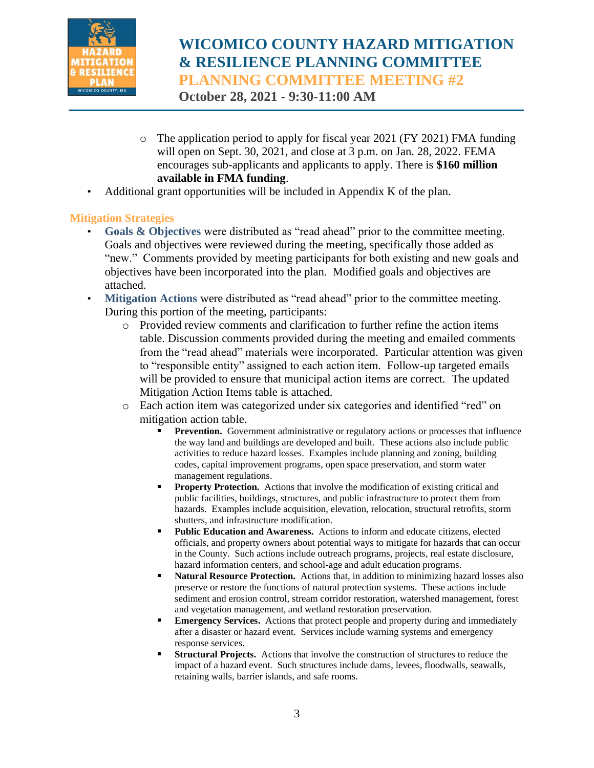

# **WICOMICO COUNTY HAZARD MITIGATION & RESILIENCE PLANNING COMMITTEE PLANNING COMMITTEE MEETING #2**

**October 28, 2021 - 9:30-11:00 AM**

- $\circ$  The application period to apply for fiscal year 2021 (FY 2021) FMA funding will open on Sept. 30, 2021, and close at 3 p.m. on Jan. 28, 2022. FEMA encourages sub-applicants and applicants to apply. There is **\$160 million available in FMA funding**.
- Additional grant opportunities will be included in Appendix K of the plan.

# **Mitigation Strategies**

- Goals & Objectives were distributed as "read ahead" prior to the committee meeting. Goals and objectives were reviewed during the meeting, specifically those added as "new." Comments provided by meeting participants for both existing and new goals and objectives have been incorporated into the plan. Modified goals and objectives are attached.
- Mitigation Actions were distributed as "read ahead" prior to the committee meeting. During this portion of the meeting, participants:
	- o Provided review comments and clarification to further refine the action items table. Discussion comments provided during the meeting and emailed comments from the "read ahead" materials were incorporated. Particular attention was given to "responsible entity" assigned to each action item. Follow-up targeted emails will be provided to ensure that municipal action items are correct. The updated Mitigation Action Items table is attached.
	- o Each action item was categorized under six categories and identified "red" on mitigation action table.
		- **Prevention.** Government administrative or regulatory actions or processes that influence the way land and buildings are developed and built. These actions also include public activities to reduce hazard losses. Examples include planning and zoning, building codes, capital improvement programs, open space preservation, and storm water management regulations.
		- **Property Protection.** Actions that involve the modification of existing critical and public facilities, buildings, structures, and public infrastructure to protect them from hazards. Examples include acquisition, elevation, relocation, structural retrofits, storm shutters, and infrastructure modification.
		- **Public Education and Awareness.** Actions to inform and educate citizens, elected officials, and property owners about potential ways to mitigate for hazards that can occur in the County. Such actions include outreach programs, projects, real estate disclosure, hazard information centers, and school-age and adult education programs.
		- **Natural Resource Protection.** Actions that, in addition to minimizing hazard losses also preserve or restore the functions of natural protection systems. These actions include sediment and erosion control, stream corridor restoration, watershed management, forest and vegetation management, and wetland restoration preservation.
		- **Emergency Services.** Actions that protect people and property during and immediately after a disaster or hazard event. Services include warning systems and emergency response services.
		- **Structural Projects.** Actions that involve the construction of structures to reduce the impact of a hazard event. Such structures include dams, levees, floodwalls, seawalls, retaining walls, barrier islands, and safe rooms.